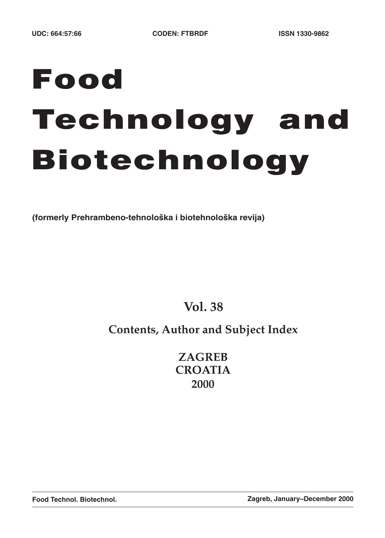# **Food Technology and Biotechnology**

**(formerly Prehrambeno-tehnolo{ka i biotehnolo{ka revija)**

**Vol. 38**

# **Contents, Author and Subject Index**

**ZAGREB CROATIA 2000**

**Food Technol. Biotechnol. Zagreb, January–December 2000**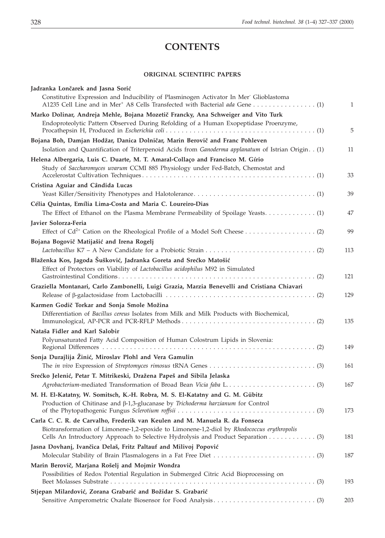# **CONTENTS**

# **ORIGINAL SCIENTIFIC PAPERS**

| Jadranka Lončarek and Jasna Sorić                                                                                                                                              |              |
|--------------------------------------------------------------------------------------------------------------------------------------------------------------------------------|--------------|
| Constitutive Expression and Inducibility of Plasminogen Activator In Mer Glioblastoma                                                                                          | $\mathbf{1}$ |
| Marko Dolinar, Andreja Mehle, Bojana Mozetič Francky, Ana Schweiger and Vito Turk<br>Endoproteolytic Pattern Observed During Refolding of a Human Exopeptidase Proenzyme,      | 5            |
| Bojana Boh, Damjan Hodžar, Danica Dolničar, Marin Berovič and Franc Pohleven                                                                                                   |              |
| Isolation and Quantification of Triterpenoid Acids from Ganoderma applanatum of Istrian Origin. . (1)                                                                          | 11           |
| Helena Albergaria, Luis C. Duarte, M. T. Amaral-Collaço and Francisco M. Gírio<br>Study of Saccharomyces uvarum CCMI 885 Physiology under Fed-Batch, Chemostat and             | 33           |
| Cristina Aguiar and Cândida Lucas                                                                                                                                              |              |
|                                                                                                                                                                                | 39           |
| Célia Quintas, Emília Lima-Costa and Maria C. Loureiro-Dias<br>The Effect of Ethanol on the Plasma Membrane Permeability of Spoilage Yeasts (1)                                | 47           |
| Javier Solorza-Feria                                                                                                                                                           |              |
|                                                                                                                                                                                | 99           |
| Bojana Bogovič Matijašić and Irena Rogelj                                                                                                                                      |              |
|                                                                                                                                                                                | 113          |
| Blaženka Kos, Jagoda Šušković, Jadranka Goreta and Srećko Matošić                                                                                                              |              |
| Effect of Protectors on Viability of Lactobacillus acidophilus M92 in Simulated                                                                                                | 121          |
| Graziella Montanari, Carlo Zambonelli, Luigi Grazia, Marzia Benevelli and Cristiana Chiavari                                                                                   |              |
|                                                                                                                                                                                | 129          |
| Karmen Godič Torkar and Sonja Smole Možina                                                                                                                                     |              |
| Differentiation of Bacillus cereus Isolates from Milk and Milk Products with Biochemical,                                                                                      | 135          |
| Nataša Fidler and Karl Salobir                                                                                                                                                 |              |
| Polyunsaturated Fatty Acid Composition of Human Colostrum Lipids in Slovenia:                                                                                                  | 149          |
| Sonja Durajlija Žinić, Miroslav Plohl and Vera Gamulin                                                                                                                         |              |
|                                                                                                                                                                                | 161          |
| Srećko Jelenić, Petar T. Mitrikeski, Dražena Papeš and Sibila Jelaska                                                                                                          |              |
|                                                                                                                                                                                | 167          |
| M. H. El-Katatny, W. Somitsch, K.-H. Robra, M. S. El-Katatny and G. M. Gübitz<br>Production of Chitinase and $\beta$ -1,3-glucanase by Trichoderma harzianum for Control       | 173          |
| Carla C. C. R. de Carvalho, Frederik van Keulen and M. Manuela R. da Fonseca                                                                                                   |              |
| Biotransformation of Limonene-1,2-epoxide to Limonene-1,2-diol by Rhodococcus erythropolis<br>Cells An Introductory Approach to Selective Hydrolysis and Product Separation 3) | 181          |
| Jasna Dovhanj, Ivančica Delaš, Fritz Paltauf and Milivoj Popović                                                                                                               | 187          |
| Marin Berovič, Marjana Rošelj and Mojmir Wondra                                                                                                                                |              |
| Possibilities of Redox Potential Regulation in Submerged Citric Acid Bioprocessing on                                                                                          | 193          |
| Stjepan Milardović, Zorana Grabarić and Božidar S. Grabarić                                                                                                                    |              |
|                                                                                                                                                                                | 203          |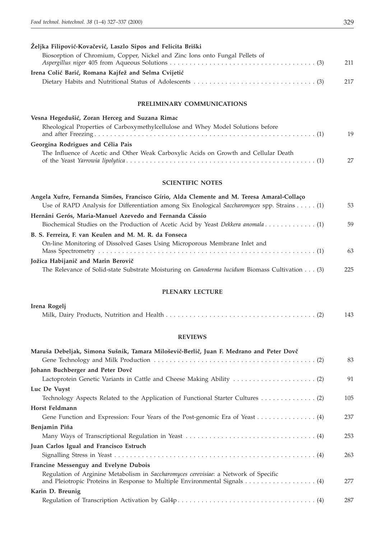| Željka Filipović-Kovačević, Laszlo Sipos and Felicita Briški                 |     |
|------------------------------------------------------------------------------|-----|
| Biosorption of Chromium, Copper, Nickel and Zinc Ions onto Fungal Pellets of |     |
|                                                                              | 211 |
| Irena Colić Barić, Romana Kajfež and Selma Cvijetić                          |     |
|                                                                              | 217 |
|                                                                              |     |

## **PRELIMINARY COMMUNICATIONS**

| Vesna Hegedušić, Zoran Herceg and Suzana Rimac                                       |    |
|--------------------------------------------------------------------------------------|----|
| Rheological Properties of Carboxymethylcellulose and Whey Model Solutions before     | 19 |
| Georgina Rodrigues and Célia Pais                                                    |    |
| The Influence of Acetic and Other Weak Carboxylic Acids on Growth and Cellular Death | 27 |

# **SCIENTIFIC NOTES**

| Angela Xufre, Fernanda Simões, Francisco Gírio, Alda Clemente and M. Teresa Amaral-Collaço     |     |
|------------------------------------------------------------------------------------------------|-----|
| Use of RAPD Analysis for Differentiation among Six Enological Saccharomyces spp. Strains (1)   | 53  |
| Hernâni Gerós, Maria-Manuel Azevedo and Fernanda Cássio                                        |     |
|                                                                                                | .59 |
| B. S. Ferreira, F. van Keulen and M. M. R. da Fonseca                                          |     |
| On-line Monitoring of Dissolved Gases Using Microporous Membrane Inlet and                     | 63  |
| Jožica Habijanič and Marin Berovič                                                             |     |
| The Relevance of Solid-state Substrate Moisturing on Ganoderma lucidum Biomass Cultivation (3) | 225 |

# **PLENARY LECTURE**

| Irena Rogelj |  |
|--------------|--|
|              |  |

#### **REVIEWS**

| Maruša Debeljak, Simona Sušnik, Tamara Miloševič-Berlič, Juan F. Medrano and Peter Dovč      |     |
|----------------------------------------------------------------------------------------------|-----|
|                                                                                              | 83  |
| Johann Buchberger and Peter Dovč                                                             |     |
|                                                                                              | 91  |
| Luc De Vuyst                                                                                 |     |
|                                                                                              | 105 |
| Horst Feldmann                                                                               |     |
| Gene Function and Expression: Four Years of the Post-genomic Era of Yeast 4)                 | 237 |
| Benjamin Piña                                                                                |     |
|                                                                                              | 253 |
| Juan Carlos Igual and Francisco Estruch                                                      |     |
|                                                                                              | 263 |
| <b>Francine Messenguy and Evelyne Dubois</b>                                                 |     |
| Regulation of Arginine Metabolism in <i>Saccharomyces cerevisiae</i> : a Network of Specific | 277 |
| Karin D. Breunig                                                                             |     |
|                                                                                              | 287 |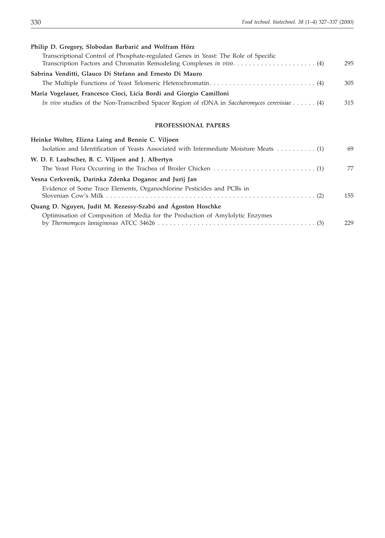| Philip D. Gregory, Slobodan Barbarić and Wolfram Hörz                                        |     |
|----------------------------------------------------------------------------------------------|-----|
| Transcriptional Control of Phosphate-regulated Genes in Yeast: The Role of Specific          | 295 |
| Sabrina Venditti, Glauco Di Stefano and Ernesto Di Mauro                                     |     |
|                                                                                              | 305 |
| Maria Vogelauer, Francesco Cioci, Licia Bordi and Giorgio Camilloni                          |     |
| In vivo studies of the Non-Transcribed Spacer Region of rDNA in Saccharomyces cerevisiae (4) | 315 |
| PROFESSIONAL PAPERS                                                                          |     |
| Heinke Wolter, Elizna Laing and Bennie C. Viljoen                                            |     |
|                                                                                              | 69  |
| W. D. F. Laubscher, B. C. Viljoen and J. Albertyn                                            |     |
|                                                                                              | 77  |
| Vesna Cerkvenik, Darinka Zdenka Doganoc and Jurij Jan                                        |     |
| Evidence of Some Trace Elements, Organochlorine Pesticides and PCBs in                       |     |
|                                                                                              | 155 |
| Quang D. Nguyen, Judit M. Rezessy-Szabó and Ágoston Hoschke                                  |     |
| Optimisation of Composition of Media for the Production of Amylolytic Enzymes                | 229 |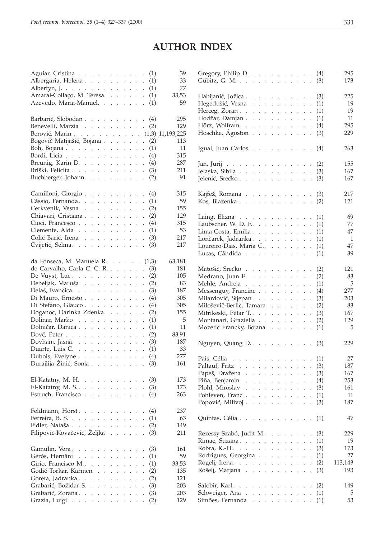# **AUTHOR INDEX**

| Aguiar, Cristina                                                                                                                                                  | (1)                         | 39         |
|-------------------------------------------------------------------------------------------------------------------------------------------------------------------|-----------------------------|------------|
| Albergaria, Helena                                                                                                                                                | (1)                         | 33         |
| Albertyn, J.                                                                                                                                                      | (1)                         | 77         |
| Amaral-Collaço, M. Teresa.                                                                                                                                        | (1)                         | 33,53      |
| Azevedo, Maria-Manuel.                                                                                                                                            | (1)                         | 59         |
|                                                                                                                                                                   |                             |            |
|                                                                                                                                                                   |                             | 295        |
| Barbarić, Slobodan                                                                                                                                                | (4)                         |            |
| Benevelli, Marzia                                                                                                                                                 | (2)                         | 129        |
| Berovič, Marin (1,3) 11,193,225                                                                                                                                   |                             |            |
| Bogovič Matijašić, Bojana                                                                                                                                         | (2)                         | 113        |
| Boh, Bojana                                                                                                                                                       | (1)                         | 11         |
| Bordi, Licia                                                                                                                                                      | (4)                         | 315        |
| Breunig, Karin D.                                                                                                                                                 | (4)                         | 287        |
| Briški, Felicita                                                                                                                                                  | (3)                         | 211        |
| Buchberger, Johann.                                                                                                                                               | (2)                         | 91         |
|                                                                                                                                                                   |                             |            |
|                                                                                                                                                                   |                             |            |
| Camilloni, Giorgio                                                                                                                                                | (4)                         | 315        |
| Cássio, Fernanda.                                                                                                                                                 | (1)                         | 59         |
| Cerkvenik, Vesna                                                                                                                                                  | (2)                         | 155        |
| Chiavari, Cristiana                                                                                                                                               | (2)                         | 129        |
| Cioci, Francesco                                                                                                                                                  | (4)                         | 315        |
| Clemente, Alda                                                                                                                                                    | (1)                         | 53         |
| Colić Barić, Irena                                                                                                                                                | (3)                         | 217        |
| Cvijetić, Selma.                                                                                                                                                  | (3)                         | 217        |
|                                                                                                                                                                   |                             |            |
|                                                                                                                                                                   |                             |            |
| da Fonseca, M. Manuela R. $\ldots$ . $(1,3)$                                                                                                                      |                             | 63,181     |
| de Carvalho, Carla C. C. R.                                                                                                                                       | (3)<br>$\mathbf{L}$         | 181        |
| De Vuyst, Luc. $\ldots$                                                                                                                                           | (2)<br>$\Box$               | 105        |
|                                                                                                                                                                   |                             |            |
|                                                                                                                                                                   | (2)                         | 83         |
| Debeljak, Maruša                                                                                                                                                  | (3)                         | 187        |
| Delaš, Ivančica.                                                                                                                                                  | (4)                         | 305        |
| Di Mauro, Ernesto                                                                                                                                                 |                             | 305        |
| Di Stefano, Glauco                                                                                                                                                | (4)<br>$\ddot{\phantom{0}}$ |            |
| Doganoc, Darinka Zdenka.                                                                                                                                          | (2)<br>$\ddot{\phantom{0}}$ | 155        |
| Dolinar, Marko                                                                                                                                                    | (1)                         | 5          |
| Dolničar, Danica                                                                                                                                                  | (1)                         | 11         |
| Dovč, Peter                                                                                                                                                       | (2)                         | 83,91      |
| Dovhanj, Jasna.                                                                                                                                                   | (3)                         | 187        |
| Duarte, Luis C. $\ldots$ $\ldots$ $\ldots$ $\ldots$                                                                                                               | (1)<br>$\mathcal{L}$        | 33         |
| Dubois, Evelyne                                                                                                                                                   | (4)                         | 277        |
| Durajlija Žinić, Sonja                                                                                                                                            | (3)                         | 161        |
|                                                                                                                                                                   |                             |            |
|                                                                                                                                                                   |                             |            |
| El-Katatny, M. H. $\ldots$ $\ldots$ $\ldots$ .                                                                                                                    | (3)                         | 173        |
| El-Katatny, M. S. $\ldots$ $\ldots$ $\ldots$ $\ldots$                                                                                                             | (3)                         | 173        |
| Estruch, Francisco.<br>$\sim$ $\sim$ $\sim$<br>$\mathbf{L} = \mathbf{L} \times \mathbf{L}$<br>$\ddot{\phantom{a}}$<br>$\ddot{\cdot}$<br>$\sim$                    | (4)                         | 263        |
|                                                                                                                                                                   |                             |            |
| Feldmann, Horst.                                                                                                                                                  | (4)                         | 237        |
| Ferreira, B. S.                                                                                                                                                   | (1)<br>$\ddot{\phantom{0}}$ | 63         |
| Fidler, Nataša                                                                                                                                                    | (2)                         | 149        |
| Filipović-Kovačević, Željka<br>$\mathcal{L}^{\mathcal{L}}$ .<br>$\mathbf{L}$                                                                                      | (3)<br>$\ddot{\phantom{0}}$ | 211        |
|                                                                                                                                                                   |                             |            |
|                                                                                                                                                                   |                             |            |
| Gamulin, Vera<br>$\Box$                                                                                                                                           | (3)                         | 161        |
| Gerós, Hernâni<br>$\mathbf{L}$                                                                                                                                    | (1)<br>$\ddot{\phantom{a}}$ | 59         |
| Gírio, Francisco M<br>$\ddot{\phantom{0}}$<br>$\mathbb{Z}^{\mathbb{Z}^2}$<br>$\mathbf{L}$<br>$\ddot{\phantom{a}}$<br>$\ddot{\phantom{0}}$<br>$\ddot{\phantom{a}}$ | (1)<br>$\ddot{\phantom{0}}$ | 33,53      |
| Godič Torkar, Karmen<br><b>Service</b> State<br>$\mathcal{L}^{\pm}$<br>$\mathcal{L}^{\pm}$<br>$\ddot{\phantom{0}}$                                                | (2)<br>$\ddot{\phantom{0}}$ | 135        |
| Goreta, Jadranka<br>$\sim$<br>$\ddot{\phantom{0}}$                                                                                                                | (2)<br>$\ddot{\phantom{0}}$ | 121        |
| Grabarić, Božidar S.<br>$\mathcal{L}^{\pm}$<br>$\ddot{\phantom{a}}$                                                                                               | (3)                         | 203        |
| Grabarić, Zorana<br>$\mathcal{L}^{\text{max}}$<br>Grazia, Luigi                                                                                                   | (3)<br>(2)                  | 203<br>129 |

| Gregory, Philip D. (4)<br>Gübitz, G. M.<br>(3)                                                   | 295<br>173 |
|--------------------------------------------------------------------------------------------------|------------|
| Habijanič, Jožica<br>(3)                                                                         | 225        |
| Hegedušić, Vesna<br>(1)                                                                          | 19         |
| Herceg, Zoran<br>(1)                                                                             | 19         |
| Hodžar, Damjan<br>(1)                                                                            | 11         |
| Hörz, Wolfram.<br>(4)                                                                            | 295        |
| Hoschke, Ágoston<br>(3)                                                                          | 229        |
|                                                                                                  |            |
| Igual, Juan Carlos<br>(4)                                                                        | 263        |
| Jan, Jurij<br>(2)                                                                                | 155        |
| Jelaska, Sibila<br>(3)                                                                           | 167        |
| Jelenić, Srećko<br>(3)                                                                           | 167        |
|                                                                                                  |            |
| (3)<br>Kajfež, Romana                                                                            | 217        |
| Kos, Blaženka<br>(2)                                                                             | 121        |
|                                                                                                  |            |
| Laing, Elizna<br>(1)                                                                             | 69         |
| Laubscher, W. D. F<br>(1)                                                                        | 77         |
| Lima-Costa, Emília.<br>(1)                                                                       | 47         |
| Lončarek, Jadranka.<br>(1)                                                                       | 1          |
| Loureiro-Dias, Maria C<br>(1)                                                                    | 47         |
| Lucas, Cândida<br>(1)                                                                            | 39         |
|                                                                                                  |            |
| Matošić, Srećko<br>(2)                                                                           | 121        |
| Medrano, Juan F. $\ldots$ $\ldots$ $\ldots$ $\ldots$<br>(2)                                      | 83         |
| Mehle, Andreja<br>(1)                                                                            | 5          |
| Messenguy, Francine<br>(4)                                                                       | 277        |
| Milardović, Stjepan.<br>(3)                                                                      | 203        |
| Miloševič-Berlič, Tamara<br>(2)                                                                  | 83         |
| Mitrikeski, Petar T<br>(3)                                                                       | 167        |
| Montanari, Graziella<br>(2)                                                                      | 129        |
| Mozetič Francky, Bojana<br>(1)                                                                   | 5          |
| Nguyen, Quang D. $\ldots$ $\ldots$ $\ldots$ $\ldots$<br>(3)                                      | 229        |
|                                                                                                  |            |
| Pais, Célia<br>$\cdots$ $\cdots$ $\cdots$ $(1)$<br>$\ddot{\phantom{a}}$                          | 27         |
| Paltauf, Fritz<br>(3)                                                                            | 187        |
| Papeš, Dražena<br>(3)                                                                            | 167        |
| Piña, Benjamin.<br>(4)<br>$\mathcal{L}^{\pm}$<br>and a state of the state of                     | 253        |
| Plohl, Miroslav<br>(3)<br>$\ddot{\phantom{a}}$                                                   | 161        |
| Pohleven, Franc<br>(1)<br>$\ddot{\phantom{0}}$                                                   | 11         |
| Popović, Milivoj $\cdots$ $\cdots$ $\cdots$<br>(3)<br>$\Box$                                     | 187        |
| Quintas, Célia<br>(1)<br>$\ddot{\phantom{0}}$                                                    | 47         |
| Rezessy-Szabó, Judit M<br>(3)                                                                    | 229        |
| Rimac, Suzana. $\ldots$ .<br>(1)                                                                 | 19         |
| Robra, K.-H<br>(3)<br>and a series of<br>$\mathcal{L}^{\text{max}}$<br>$\mathbf{L}^{\text{max}}$ | 173        |
| Rodrigues, Georgina<br>(1)<br>$\ddot{\phantom{0}}$                                               | 27         |
| Rogelj, Irena.<br>(2)<br>$\ddot{\phantom{0}}$                                                    | 113,143    |
| Rošelj, Marjana<br>(3)                                                                           | 193        |
|                                                                                                  |            |
| Salobir, Karl<br>(2)                                                                             | 149        |
| Schweiger, Ana<br>(1)<br>$\ddot{\phantom{0}}$                                                    | 5          |
| Simões, Fernanda<br>(1)<br>¥.                                                                    | 53         |
|                                                                                                  |            |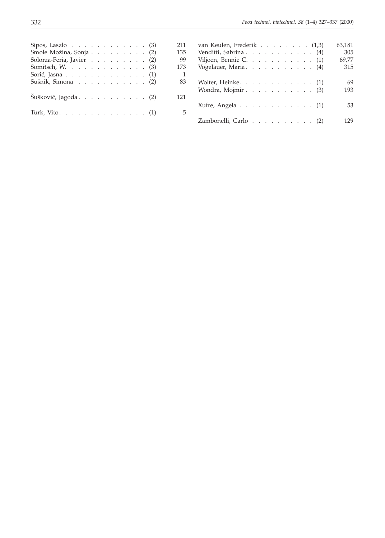| 211<br>Sipos, Laszlo $\ldots$ $\ldots$ $\ldots$ $\ldots$ $\ldots$ (3) | van Keulen,         |
|-----------------------------------------------------------------------|---------------------|
| 135<br>Smole Možina, Sonja (2)                                        | Venditti, Sabı      |
| Solorza-Feria, Javier (2)                                             | 99<br>Viljoen, Benn |
| 173<br>Somitsch, W. $\ldots$ (3)                                      | Vogelauer, M        |
| Sorić, Jasna $\ldots$ $\ldots$ $\ldots$ $\ldots$ $\ldots$ $(1)$       |                     |
| Sušnik, Simona $\ldots$ $\ldots$ $\ldots$ $\ldots$ $(2)$              | 83<br>Wolter, Heinl |
| Šušković, Jagoda (2)<br>121                                           | Wondra, Moj         |
| Turk, Vito. (1)                                                       | Xufre, Angela<br>5  |
|                                                                       | Zambonelli (        |

| van Keulen, Frederik $\ldots$ $\ldots$ $\ldots$ $(1,3)$          |  |  |  |  |  | 63,181 |
|------------------------------------------------------------------|--|--|--|--|--|--------|
| Venditti, Sabrina (4)                                            |  |  |  |  |  | 305    |
| Viljoen, Bennie C. $(1)$                                         |  |  |  |  |  | 69,77  |
| Vogelauer, Maria. (4)                                            |  |  |  |  |  | 315    |
| Wolter, Heinke. $\ldots$ $\ldots$ $\ldots$ $\ldots$ $\ldots$ (1) |  |  |  |  |  | 69     |
| Wondra, Mojmir $\ldots$ $\ldots$ $\ldots$ $\ldots$ $\ldots$ (3)  |  |  |  |  |  | 193    |
| Xufre, Angela $\ldots$ $\ldots$ $\ldots$ $\ldots$ $\ldots$ (1)   |  |  |  |  |  | 53     |
| Zambonelli, Carlo (2)                                            |  |  |  |  |  | 129    |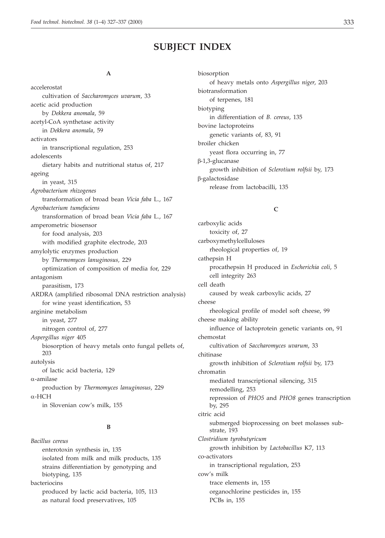# **SUBJECT INDEX**

#### **A**

accelerostat cultivation of *Saccharomyces uvarum*, 33 acetic acid production by *Dekkera anomala*, 59 acetyl-CoA synthetase activity in *Dekkera anomala*, 59 activators in transcriptional regulation, 253 adolescents dietary habits and nutritional status of, 217 ageing in yeast, 315 *Agrobacterium rhizogenes* transformation of broad bean *Vicia faba* L., 167 *Agrobacterium tumefaciens* transformation of broad bean *Vicia faba* L., 167 amperometric biosensor for food analysis, 203 with modified graphite electrode, 203 amylolytic enzymes production by *Thermomyces lanuginosus,* 229 optimization of composition of media for, 229 antagonism parasitism, 173 ARDRA (amplified ribosomal DNA restriction analysis) for wine yeast identification, 53 arginine metabolism in yeast, 277 nitrogen control of, 277 *Aspergillus niger* 405 biosorption of heavy metals onto fungal pellets of, 203 autolysis of lactic acid bacteria, 129 --amilase production by *Thermomyces lanuginosus*, 229  $\alpha$ -HCH in Slovenian cow's milk, 155

# **B**

*Bacillus cereus* enterotoxin synthesis in, 135 isolated from milk and milk products, 135 strains differentiation by genotyping and biotyping, 135 bacteriocins produced by lactic acid bacteria, 105, 113 as natural food preservatives, 105

biosorption of heavy metals onto *Aspergillus niger*, 203 biotransformation of terpenes, 181 biotyping in differentiation of *B. cereus*, 135 bovine lactoproteins genetic variants of, 83, 91 broiler chicken yeast flora occurring in, 77 -1,3-glucanase growth inhibition of *Sclerotium rolfsii* by, 173 -galactosidase release from lactobacilli, 135

# **C**

carboxylic acids toxicity of, 27 carboxymethylcelluloses rheological properties of, 19 cathepsin H procathepsin H produced in *Escherichia coli*, 5 cell integrity 263 cell death caused by weak carboxylic acids, 27 cheese rheological profile of model soft cheese, 99 cheese making ability influence of lactoprotein genetic variants on, 91 chemostat cultivation of *Saccharomyces uvarum*, 33 chitinase growth inhibition of *Sclerotium rolfsii* by, 173 chromatin mediated transcriptional silencing, 315 remodelling, 253 repression of *PHO5* and *PHO8* genes transcription by, 295 citric acid submerged bioprocessing on beet molasses substrate, 193 *Clostridium tyrobutyricum* growth inhibition by *Lactobacillus* K7, 113 co-activators in transcriptional regulation, 253 cow's milk trace elements in, 155 organochlorine pesticides in, 155

PCBs in, 155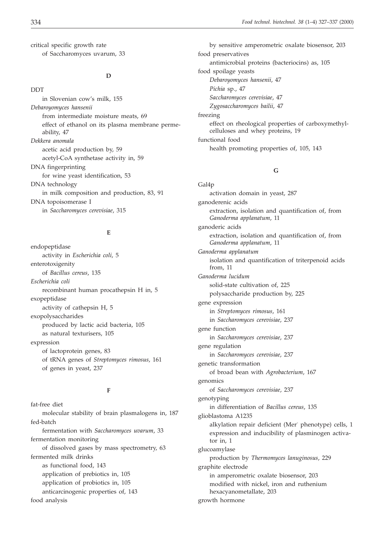**DDT** 

critical specific growth rate of Saccharomyces uvarum, 33

#### **D**

in Slovenian cow's milk, 155 *Debaroyomyces hansenii* from intermediate moisture meats, 69 effect of ethanol on its plasma membrane permeability, 47 *Dekkera anomala* acetic acid production by, 59 acetyl-CoA synthetase activity in, 59 DNA fingerprinting for wine yeast identification, 53 DNA technology in milk composition and production, 83, 91 DNA topoisomerase I in *Saccharomyces cerevisiae*, 315

## **E**

endopeptidase activity in *Escherichia coli*, 5 enterotoxigenity of *Bacillus cereus*, 135 *Escherichia coli* recombinant human procathepsin H in, 5 exopeptidase activity of cathepsin H, 5 exopolysaccharides produced by lactic acid bacteria, 105 as natural texturisers, 105 expression of lactoprotein genes, 83 of tRNA genes of *Streptomyces rimosus*, 161 of genes in yeast, 237

# **F**

fat-free diet molecular stability of brain plasmalogens in, 187 fed-batch fermentation with *Saccharomyces uvarum*, 33 fermentation monitoring of dissolved gases by mass spectrometry, 63 fermented milk drinks as functional food, 143 application of prebiotics in, 105 application of probiotics in, 105 anticarcinogenic properties of, 143 food analysis

by sensitive amperometric oxalate biosensor, 203 food preservatives antimicrobial proteins (bacteriocins) as, 105 food spoilage yeasts *Debaroyomyces hansenii*, 47 *Pichia* sp., 47 *Saccharomyces cerevisiae*, 47 *Zygosaccharomyces bailii*, 47 freezing effect on rheological properties of carboxymethylcelluloses and whey proteins, 19 functional food health promoting properties of, 105, 143

# **G**

Gal4p activation domain in yeast, 287 ganoderenic acids extraction, isolation and quantification of, from *Ganoderma applanatum*, 11 ganoderic acids extraction, isolation and quantification of, from *Ganoderma applanatum*, 11 *Ganoderma applanatum* isolation and quantification of triterpenoid acids from, 11 *Ganoderma lucidum* solid-state cultivation of, 225 polysaccharide production by, 225 gene expression in *Streptomyces rimosus*, 161 in *Saccharomyces cerevisiae*, 237 gene function in *Saccharomyces cerevisiae*, 237 gene regulation in *Saccharomyces cerevisiae*, 237 genetic transformation of broad bean with *Agrobacterium*, 167 genomics of *Saccharomyces cerevisiae*, 237 genotyping in differentiation of *Bacillus cereus*, 135 glioblastoma A1235 alkylation repair deficient (Mer<sup>-</sup> phenotype) cells, 1 expression and inducibility of plasminogen activator in, 1 glucoamylase production by *Thermomyces lanuginosus*, 229 graphite electrode in amperometric oxalate biosensor, 203 modified with nickel, iron and ruthenium hexacyanometallate, 203 growth hormone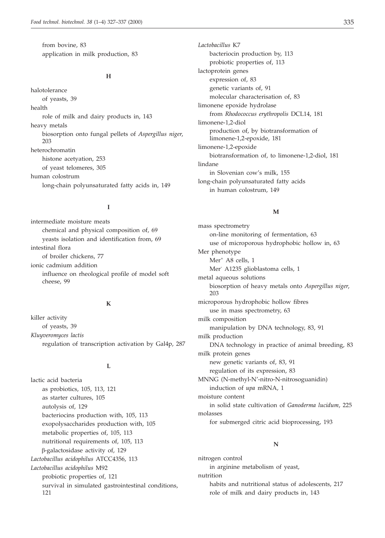from bovine, 83 application in milk production, 83

#### **H**

halotolerance of yeasts, 39 health role of milk and dairy products in, 143 heavy metals biosorption onto fungal pellets of *Aspergillus niger*, 203 heterochromatin histone acetyation, 253 of yeast telomeres, 305 human colostrum long-chain polyunsaturated fatty acids in, 149

# **I**

intermediate moisture meats chemical and physical composition of, 69 yeasts isolation and identification from, 69 intestinal flora of broiler chickens, 77 ionic cadmium addition influence on rheological profile of model soft cheese, 99

# **K**

killer activity of yeasts, 39 *Kluyveromyces lactis* regulation of transcription activation by Gal4p, 287

#### **L**

lactic acid bacteria as probiotics, 105, 113, 121 as starter cultures, 105 autolysis of, 129 bacteriocins production with, 105, 113 exopolysaccharides production with, 105 metabolic properties of, 105, 113 nutritional requirements of, 105, 113 -galactosidase activity of, 129 *Lactobacillus acidophilus* ATCC4356, 113 *Lactobacillus acidophilus* M92 probiotic properties of, 121 survival in simulated gastrointestinal conditions, 121

*Lactobacillus* K7 bacteriocin production by, 113 probiotic properties of, 113 lactoprotein genes expression of, 83 genetic variants of, 91 molecular characterisation of, 83 limonene epoxide hydrolase from *Rhodococcus erythropolis* DCL14, 181 limonene-1,2-diol production of, by biotransformation of limonene-1,2-epoxide, 181 limonene-1,2-epoxide biotransformation of, to limonene-1,2-diol, 181 lindane in Slovenian cow's milk, 155 long-chain polyunsaturated fatty acids in human colostrum, 149

#### **M**

mass spectrometry on-line monitoring of fermentation, 63 use of microporous hydrophobic hollow in, 63 Mer phenotype Mer<sup>+</sup> A8 cells, 1 Mer- A1235 glioblastoma cells, 1 metal aqueous solutions biosorption of heavy metals onto *Aspergillus niger*, 203 microporous hydrophobic hollow fibres use in mass spectrometry, 63 milk composition manipulation by DNA technology, 83, 91 milk production DNA technology in practice of animal breeding, 83 milk protein genes new genetic variants of, 83, 91 regulation of its expression, 83 MNNG (N-methyl-N'-nitro-N-nitrosoguanidin) induction of *upa* mRNA, 1 moisture content in solid state cultivation of *Ganoderma lucidum*, 225 molasses for submerged citric acid bioprocessing, 193

## **N**

nitrogen control in arginine metabolism of yeast, nutrition habits and nutritional status of adolescents, 217 role of milk and dairy products in, 143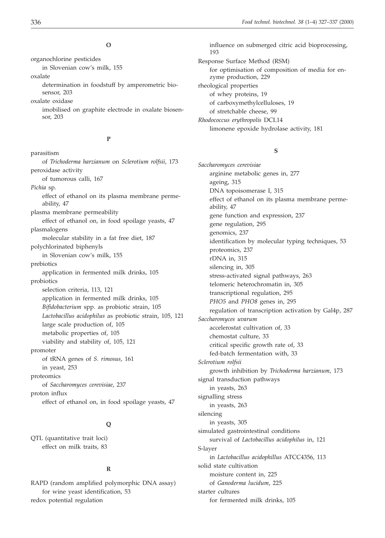#### **O**

organochlorine pesticides in Slovenian cow's milk, 155 oxalate determination in foodstuff by amperometric bio-

sensor, 203 oxalate oxidase imobilised on graphite electrode in oxalate biosensor, 203

# **P**

parasitism of *Trichoderma harzianum* on *Sclerotium rolfsii*, 173 peroxidase activity of tumorous calli, 167 *Pichia* sp. effect of ethanol on its plasma membrane permeability, 47 plasma membrane permeability effect of ethanol on, in food spoilage yeasts, 47 plasmalogens molecular stability in a fat free diet, 187 polychlorinated biphenyls in Slovenian cow's milk, 155 prebiotics application in fermented milk drinks, 105 probiotics selection criteria, 113, 121 application in fermented milk drinks, 105 *Bifidobacterium* spp. as probiotic strain, 105 *Lactobacillus acidophilus* as probiotic strain, 105, 121 large scale production of, 105 metabolic properties of, 105 viability and stability of, 105, 121 promoter of tRNA genes of *S. rimosus*, 161 in yeast, 253 proteomics of *Saccharomyces cerevisiae*, 237 proton influx effect of ethanol on, in food spoilage yeasts, 47

# **Q**

QTL (quantitative trait loci) effect on milk traits, 83

# **R**

RAPD (random amplified polymorphic DNA assay) for wine yeast identification, 53 redox potential regulation

influence on submerged citric acid bioprocessing, 193 Response Surface Method (RSM) for optimisation of composition of media for enzyme production, 229 rheological properties of whey proteins, 19 of carboxymethylcelluloses, 19 of stretchable cheese, 99 *Rhodococcus erythropolis* DCL14 limonene epoxide hydrolase activity, 181

# **S**

*Saccharomyces cerevisiae* arginine metabolic genes in, 277 ageing, 315 DNA topoisomerase I, 315 effect of ethanol on its plasma membrane permeability, 47 gene function and expression, 237 gene regulation, 295 genomics, 237 identification by molecular typing techniques, 53 proteomics, 237 rDNA in, 315 silencing in, 305 stress-activated signal pathways, 263 telomeric heterochromatin in, 305 transcriptional regulation, 295 *PHO5* and *PHO8* genes in, 295 regulation of transcription activation by Gal4p, 287 *Saccharomyces uvarum* accelerostat cultivation of, 33 chemostat culture, 33 critical specific growth rate of, 33 fed-batch fermentation with, 33 *Sclerotium rolfsii* growth inhibition by *Trichoderma harzianum*, 173 signal transduction pathways in yeasts, 263 signalling stress in yeasts, 263 silencing in yeasts, 305 simulated gastrointestinal conditions survival of *Lactobacillus acidophilus* in, 121 S-layer in *Lactobacillus acidophillus* ATCC4356, 113 solid state cultivation moisture content in, 225 of *Ganoderma lucidum*, 225 starter cultures for fermented milk drinks, 105